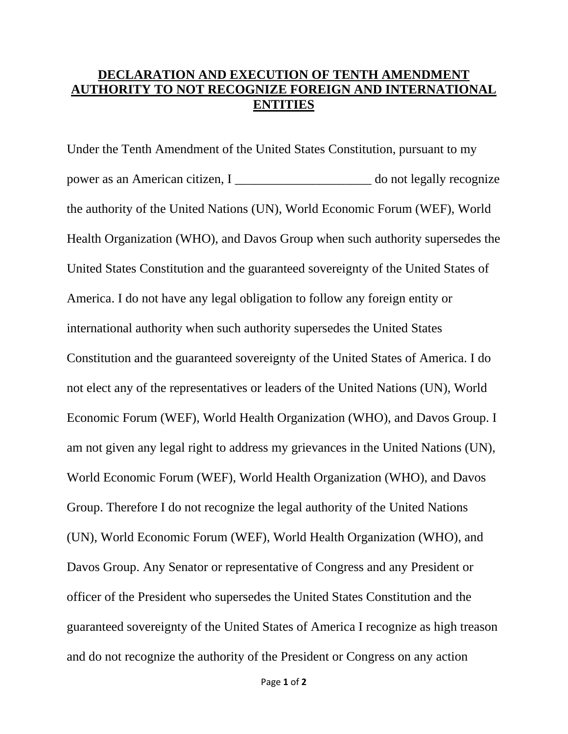## **DECLARATION AND EXECUTION OF TENTH AMENDMENT AUTHORITY TO NOT RECOGNIZE FOREIGN AND INTERNATIONAL ENTITIES**

Under the Tenth Amendment of the United States Constitution, pursuant to my power as an American citizen, I \_\_\_\_\_\_\_\_\_\_\_\_\_\_\_\_\_\_\_\_\_ do not legally recognize the authority of the United Nations (UN), World Economic Forum (WEF), World Health Organization (WHO), and Davos Group when such authority supersedes the United States Constitution and the guaranteed sovereignty of the United States of America. I do not have any legal obligation to follow any foreign entity or international authority when such authority supersedes the United States Constitution and the guaranteed sovereignty of the United States of America. I do not elect any of the representatives or leaders of the United Nations (UN), World Economic Forum (WEF), World Health Organization (WHO), and Davos Group. I am not given any legal right to address my grievances in the United Nations (UN), World Economic Forum (WEF), World Health Organization (WHO), and Davos Group. Therefore I do not recognize the legal authority of the United Nations (UN), World Economic Forum (WEF), World Health Organization (WHO), and Davos Group. Any Senator or representative of Congress and any President or officer of the President who supersedes the United States Constitution and the guaranteed sovereignty of the United States of America I recognize as high treason and do not recognize the authority of the President or Congress on any action